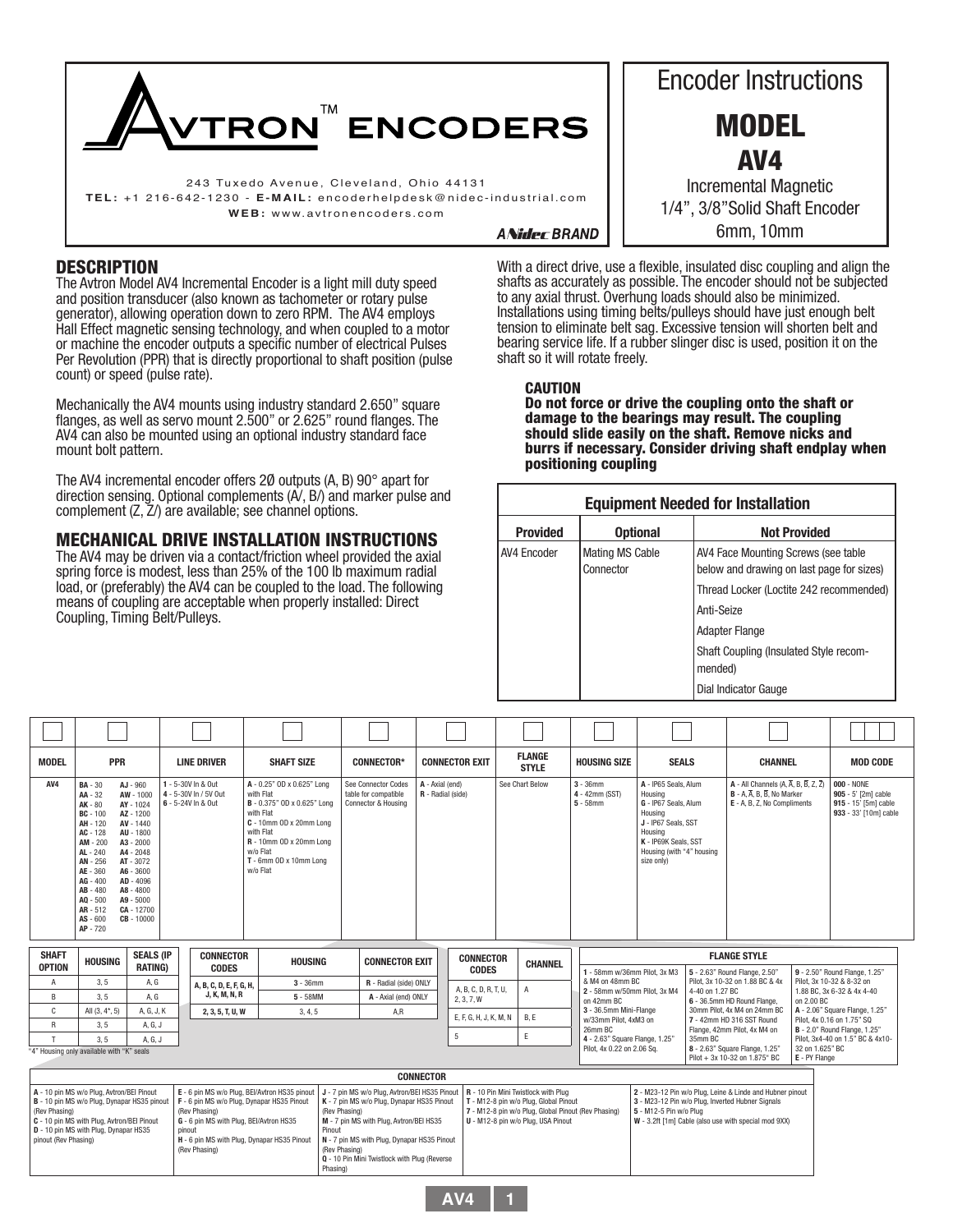

WEB: www.avtronencoders.com

### **DESCRIPTION**

The Avtron Model AV4 Incremental Encoder is a light mill duty speed and position transducer (also known as tachometer or rotary pulse generator), allowing operation down to zero RPM. The AV4 employs Hall Effect magnetic sensing technology, and when coupled to a motor or machine the encoder outputs a specific number of electrical Pulses Per Revolution (PPR) that is directly proportional to shaft position (pulse count) or speed (pulse rate).

Mechanically the AV4 mounts using industry standard 2.650" square flanges, as well as servo mount 2.500" or 2.625" round flanges. The AV4 can also be mounted using an optional industry standard face mount bolt pattern.

The AV4 incremental encoder offers 2Ø outputs (A, B) 90° apart for direction sensing. Optional complements (A/, B/) and marker pulse and complement (Z, Z/) are available; see channel options.

### MECHANICAL DRIVE INSTALLATION INSTRUCTIONS

The AV4 may be driven via a contact/friction wheel provided the axial spring force is modest, less than 25% of the 100 lb maximum radial load, or (preferably) the AV4 can be coupled to the load. The following means of coupling are acceptable when properly installed: Direct Coupling, Timing Belt/Pulleys.

Encoder Instructions MODEL AV4 Incremental Magnetic 1/4", 3/8"Solid Shaft Encoder 6mm, 10mm

**ANider BRAND** 

With a direct drive, use a flexible, insulated disc coupling and align the shafts as accurately as possible. The encoder should not be subjected to any axial thrust. Overhung loads should also be minimized. Installations using timing belts/pulleys should have just enough belt tension to eliminate belt sag. Excessive tension will shorten belt and bearing service life. If a rubber slinger disc is used, position it on the shaft so it will rotate freely.

**CAUTION** 

Do not force or drive the coupling onto the shaft or damage to the bearings may result. The coupling should slide easily on the shaft. Remove nicks and burrs if necessary. Consider driving shaft endplay when positioning coupling

| <b>Equipment Needed for Installation</b> |                                     |                                                                                                                                           |  |  |  |  |  |
|------------------------------------------|-------------------------------------|-------------------------------------------------------------------------------------------------------------------------------------------|--|--|--|--|--|
| <b>Provided</b>                          | <b>Optional</b>                     | <b>Not Provided</b>                                                                                                                       |  |  |  |  |  |
| AV4 Encoder                              | <b>Mating MS Cable</b><br>Connector | AV4 Face Mounting Screws (see table<br>below and drawing on last page for sizes)<br>Thread Locker (Loctite 242 recommended)<br>Anti-Seize |  |  |  |  |  |
|                                          |                                     | <b>Adapter Flange</b><br>Shaft Coupling (Insulated Style recom-<br>mended)<br>Dial Indicator Gauge                                        |  |  |  |  |  |

| <b>MODEL</b>                          | PPR                                                                                                                                                                                                        |                                                                                                                                                                                                        | <b>LINE DRIVER</b>                                                                                                                                                                                               | <b>SHAFT SIZE</b>                                                                                                                                                                                        | <b>CONNECTOR*</b>                                                                                                                                                                                      | <b>CONNECTOR EXIT</b>                |                                    | <b>FLANGE</b><br><b>STYLE</b>                                                                                                                                             | <b>HOUSING SIZE</b>                                                           | <b>SEALS</b>                                                                                                                                                            |                 | <b>CHANNEL</b>                                                                                                                                                       |            | <b>MOD CODE</b>                                                                           |
|---------------------------------------|------------------------------------------------------------------------------------------------------------------------------------------------------------------------------------------------------------|--------------------------------------------------------------------------------------------------------------------------------------------------------------------------------------------------------|------------------------------------------------------------------------------------------------------------------------------------------------------------------------------------------------------------------|----------------------------------------------------------------------------------------------------------------------------------------------------------------------------------------------------------|--------------------------------------------------------------------------------------------------------------------------------------------------------------------------------------------------------|--------------------------------------|------------------------------------|---------------------------------------------------------------------------------------------------------------------------------------------------------------------------|-------------------------------------------------------------------------------|-------------------------------------------------------------------------------------------------------------------------------------------------------------------------|-----------------|----------------------------------------------------------------------------------------------------------------------------------------------------------------------|------------|-------------------------------------------------------------------------------------------|
| AV4                                   | <b>BA</b> - 30<br>AA - 32<br>AK - 80<br>$BC - 100$<br>AH - 120<br>AC - 128<br>AM - 200<br>$AL - 240$<br>AN - 256<br>AE - 360<br>AG - 400<br>AB - 480<br>$AO - 500$<br>AR - 512<br>$AS - 600$<br>$AP - 720$ | AJ - 960<br>AW - 1000<br>AY - 1024<br>AZ - 1200<br>AV - 1440<br>AU - 1800<br>$A3 - 2000$<br>A4 - 2048<br>AT - 3072<br>A6 - 3600<br>AD - 4096<br>A8 - 4800<br>A9 - 5000<br>$CA - 12700$<br>$CB - 10000$ | 1 - 5-30V In & Out<br>4 - 5-30V In / 5V Out<br>6 - 5-24V In & Out                                                                                                                                                | A - 0.25" OD x 0.625" Long<br>with Flat<br>B - 0.375" OD x 0.625" Long<br>with Flat<br>C - 10mm OD x 20mm Long<br>with Flat<br>R - 10mm OD x 20mm Long<br>w/o Flat<br>T - 6mm OD x 10mm Long<br>w/o Flat | See Connector Codes<br>table for compatible<br>Connector & Housing                                                                                                                                     | A - Axial (end)<br>R - Radial (side) |                                    | See Chart Below                                                                                                                                                           | $3 - 36$ mm<br>4 - 42mm (SST)<br>$5 - 58$ mm                                  | A - IP65 Seals, Alum<br>Housing<br>G - IP67 Seals, Alum<br>Housing<br>J - IP67 Seals, SST<br>Housing<br>K - IP69K Seals, SST<br>Housing (with "4" housing<br>size only) |                 | $A - All Channels (A, \overline{A}, B, \overline{B}, Z, \overline{Z})$<br>B - A. A. B. B. No Marker<br>E - A. B. Z. No Compliments                                   |            | <b>000 - NONE</b><br>905 - 5' [2m] cable<br>915 - 15' [5m] cable<br>933 - 33' [10m] cable |
| <b>SHAFT</b><br><b>OPTION</b>         | <b>HOUSING</b>                                                                                                                                                                                             | <b>SEALS (IP</b><br><b>RATING)</b>                                                                                                                                                                     | <b>CONNECTOR</b><br><b>CODES</b>                                                                                                                                                                                 | <b>HOUSING</b>                                                                                                                                                                                           | <b>CONNECTOR EXIT</b>                                                                                                                                                                                  |                                      | <b>CONNECTOR</b><br><b>CODES</b>   | <b>CHANNEL</b>                                                                                                                                                            | 1 - 58mm w/36mm Pilot. 3x M3                                                  |                                                                                                                                                                         |                 | <b>FLANGE STYLE</b><br>5 - 2.63" Round Flange, 2.50"                                                                                                                 |            | 9 - 2.50" Round Flange, 1.25"                                                             |
| Α                                     | 3, 5                                                                                                                                                                                                       | A, G                                                                                                                                                                                                   | A, B, C, D, E, F, G, H,                                                                                                                                                                                          | $3 - 36$ mm                                                                                                                                                                                              | R - Radial (side) ONLY                                                                                                                                                                                 |                                      |                                    |                                                                                                                                                                           | & M4 on 48mm BC                                                               |                                                                                                                                                                         |                 | Pilot. 3x 10-32 on 1.88 BC & 4x                                                                                                                                      |            | Pilot. 3x 10-32 & 8-32 on                                                                 |
| B                                     | 3, 5                                                                                                                                                                                                       | A, G                                                                                                                                                                                                   | J, K, M, N, R                                                                                                                                                                                                    | $5 - 58MM$                                                                                                                                                                                               | A - Axial (end) ONLY                                                                                                                                                                                   |                                      | A, B, C, D, R, T, U,<br>2, 3, 7, W | A                                                                                                                                                                         | 2 - 58mm w/50mm Pilot. 3x M4<br>on 42mm BC                                    |                                                                                                                                                                         | 4-40 on 1.27 BC | 6 - 36.5mm HD Round Flange,                                                                                                                                          | on 2.00 BC | 1.88 BC, 3x 6-32 & 4x 4-40                                                                |
| C                                     | All $(3, 4^*, 5)$                                                                                                                                                                                          | A. G. J. K                                                                                                                                                                                             | 2, 3, 5, T, U, W                                                                                                                                                                                                 | 3, 4, 5                                                                                                                                                                                                  | A,R                                                                                                                                                                                                    |                                      |                                    |                                                                                                                                                                           | 3 - 36.5mm Mini-Flange                                                        |                                                                                                                                                                         |                 | 30mm Pilot, 4x M4 on 24mm BC                                                                                                                                         |            | A - 2.06" Square Flange, 1.25"                                                            |
| R                                     | 3.5                                                                                                                                                                                                        | A, G, J                                                                                                                                                                                                |                                                                                                                                                                                                                  |                                                                                                                                                                                                          |                                                                                                                                                                                                        |                                      | E, F, G, H, J, K, M, N             | B, E                                                                                                                                                                      | w/33mm Pilot. 4xM3 on<br>26mm BC                                              |                                                                                                                                                                         |                 | 7 - 42mm HD 316 SST Round<br>Flange, 42mm Pilot, 4x M4 on                                                                                                            |            | Pilot. 4x 0.16 on 1.75" SQ<br><b>B</b> - 2.0" Round Flange, 1.25"                         |
| $\mathsf{T}$                          | 3.5                                                                                                                                                                                                        | A. G. J                                                                                                                                                                                                |                                                                                                                                                                                                                  |                                                                                                                                                                                                          |                                                                                                                                                                                                        |                                      | $\,$ 5 $\,$                        | E.                                                                                                                                                                        | 35mm BC<br>4 - 2.63" Square Flange, 1.25"<br>Pilot, 3x4-40 on 1.5" BC & 4x10- |                                                                                                                                                                         |                 |                                                                                                                                                                      |            |                                                                                           |
|                                       | Pilot, 4x 0.22 on 2.06 Sq.<br>8 - 2.63" Square Flange, 1.25"<br>32 on 1.625" BC<br>"4" Housing only available with "K" seals<br>Pilot + 3x 10-32 on 1.875" BC<br>E - PY Flange                             |                                                                                                                                                                                                        |                                                                                                                                                                                                                  |                                                                                                                                                                                                          |                                                                                                                                                                                                        |                                      |                                    |                                                                                                                                                                           |                                                                               |                                                                                                                                                                         |                 |                                                                                                                                                                      |            |                                                                                           |
|                                       | <b>CONNECTOR</b>                                                                                                                                                                                           |                                                                                                                                                                                                        |                                                                                                                                                                                                                  |                                                                                                                                                                                                          |                                                                                                                                                                                                        |                                      |                                    |                                                                                                                                                                           |                                                                               |                                                                                                                                                                         |                 |                                                                                                                                                                      |            |                                                                                           |
| (Rev Phasing)<br>pinout (Rev Phasing) | A - 10 pin MS w/o Plug, Avtron/BEI Pinout<br>B - 10 pin MS w/o Plug, Dynapar HS35 pinout<br>C - 10 pin MS with Plug, Avtron/BEI Pinout<br>D - 10 pin MS with Plug, Dynapar HS35                            |                                                                                                                                                                                                        | E - 6 pin MS w/o Plug, BEI/Avtron HS35 pinout<br>F - 6 pin MS w/o Plug, Dynapar HS35 Pinout<br>(Rev Phasing)<br>G - 6 pin MS with Plug, BEI/Avtron HS35<br>pinout<br>H - 6 pin MS with Plug, Dynapar HS35 Pinout | Pinout                                                                                                                                                                                                   | J - 7 pin MS w/o Plug. Avtron/BEI HS35 Pinout<br>K - 7 pin MS w/o Plug, Dynapar HS35 Pinout<br>(Rev Phasing)<br>M - 7 pin MS with Plug, Avtron/BEI HS35<br>N - 7 pin MS with Plug, Dynapar HS35 Pinout |                                      |                                    | R - 10 Pin Mini Twistlock with Plug<br>T - M12-8 pin w/o Plug, Global Pinout<br>7 - M12-8 pin w/o Plug, Global Pinout (Rev Phasing)<br>U - M12-8 pin w/o Plug, USA Pinout |                                                                               | 5 - M12-5 Pin w/o Plug                                                                                                                                                  |                 | 2 - M23-12 Pin w/o Plug, Leine & Linde and Hubner pinout<br>3 - M23-12 Pin w/o Plug, Inverted Hubner Signals<br>W - 3.2ft [1m] Cable (also use with special mod 9XX) |            |                                                                                           |

Phasing)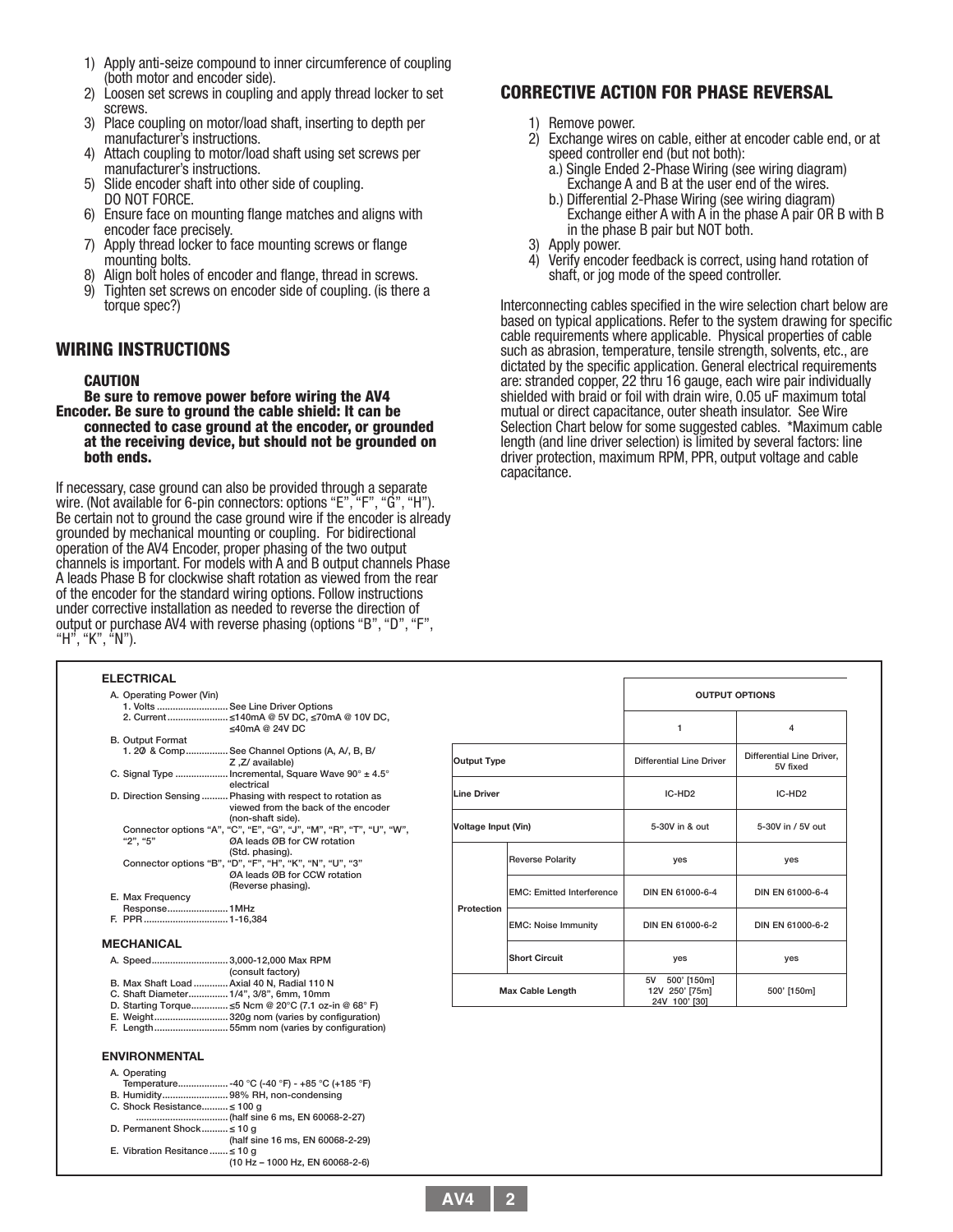- 1) Apply anti-seize compound to inner circumference of coupling (both motor and encoder side).
- 2) Loosen set screws in coupling and apply thread locker to set screws.
- 3) Place coupling on motor/load shaft, inserting to depth per manufacturer's instructions.
- 4) Attach coupling to motor/load shaft using set screws per manufacturer's instructions.
- 5) Slide encoder shaft into other side of coupling. DO NOT FORCE.
- 6) Ensure face on mounting flange matches and aligns with encoder face precisely.
- 7) Apply thread locker to face mounting screws or flange mounting bolts.
- 8) Align bolt holes of encoder and flange, thread in screws.
- 9) Tighten set screws on encoder side of coupling. (is there a torque spec?)

### WIRING INSTRUCTIONS

E. Vibration Resitance

 $. \leq$  10 g<br>(10 Hz – 1000 Hz, EN 60068-2-6)

CAUTION<br>Be sure to remove power before wiring the AV4 Encoder. Be sure to ground the cable shield: It can be connected to case ground at the encoder, or grounded at the receiving device, but should not be grounded on both ends.

If necessary, case ground can also be provided through a separate wire. (Not available for 6-pin connectors: options "E", "F", "G", "H"). Be certain not to ground the case ground wire if the encoder is already grounded by mechanical mounting or coupling. For bidirectional operation of the AV4 Encoder, proper phasing of the two output channels is important. For models with A and B output channels Phase A leads Phase B for clockwise shaft rotation as viewed from the rear of the encoder for the standard wiring options. Follow instructions under corrective installation as needed to reverse the direction of output or purchase AV4 with reverse phasing (options "B", "D", "F", "H", "K", "N").

## CORRECTIVE ACTION FOR PHASE REVERSAL

- 
- 1) Remove power.<br>2) Exchange wires on cable, either at encoder cable end, or at
	-
- 2) Exchange wires on cable, either at encoder cable end, or at<br>speed controller end (but not both):<br>a.) Single Ended 2-Phase Wiring (see wiring diagram)<br>Exchange A and B at the user end of the wires.<br>b.) Differential 2-Pha
- 3) Apply power.
- 4) Verify encoder feedback is correct, using hand rotation of shaft, or jog mode of the speed controller.

Interconnecting cables specified in the wire selection chart below are based on typical applications. Refer to the system drawing for specific cable requirements where applicable. Physical properties of cable such as abrasion, temperature, tensile strength, solvents, etc., are dictated by the specific application. General electrical requirements are: stranded copper, 22 thru 16 gauge, each wire pair individually shielded with braid or foil with drain wire, 0.05 uF maximum total mutual or direct capacitance, outer sheath insulator. See Wire Selection Chart below for some suggested cables. \*Maximum cable length (and line driver selection) is limited by several factors: line driver protection, maximum RPM, PPR, output voltage and cable capacitance.

| <b>ELECTRICAL</b>                                                                                                                   |                     |                                  |                                 |                                              |
|-------------------------------------------------------------------------------------------------------------------------------------|---------------------|----------------------------------|---------------------------------|----------------------------------------------|
| A. Operating Power (Vin)                                                                                                            |                     |                                  |                                 | <b>OUTPUT OPTIONS</b>                        |
| 1. Volts  See Line Driver Options                                                                                                   |                     |                                  |                                 |                                              |
| 2. Current ≤140mA @ 5V DC, ≤70mA @ 10V DC,<br>$\leq$ 40mA @ 24V DC                                                                  |                     |                                  | $\overline{1}$                  | 4                                            |
| <b>B. Output Format</b>                                                                                                             |                     |                                  |                                 |                                              |
| 1.20 & Comp See Channel Options (A, A/, B, B/<br>Z.Z/ available)                                                                    | <b>Output Type</b>  |                                  | <b>Differential Line Driver</b> | <b>Differential Line Driver.</b><br>5V fixed |
| C. Signal Type  Incremental, Square Wave 90° ± 4.5°<br>electrical                                                                   |                     |                                  |                                 |                                              |
| D. Direction Sensing  Phasing with respect to rotation as<br>viewed from the back of the encoder                                    | <b>Line Driver</b>  |                                  | IC-HD <sub>2</sub>              | IC-HD <sub>2</sub>                           |
| (non-shaft side).<br>Connector options "A", "C", "E", "G", "J", "M", "R", "T", "U", "W",<br>"2", "5"<br>ØA leads ØB for CW rotation | Voltage Input (Vin) |                                  | 5-30V in & out                  | 5-30V in / 5V out                            |
| (Std. phasing).<br>Connector options "B", "D", "F", "H", "K", "N", "U", "3"                                                         |                     | <b>Reverse Polarity</b>          | yes                             | yes                                          |
| ØA leads ØB for CCW rotation<br>(Reverse phasing).                                                                                  |                     |                                  |                                 |                                              |
| E. Max Frequency                                                                                                                    |                     | <b>EMC: Emitted Interference</b> | DIN EN 61000-6-4                | DIN EN 61000-6-4                             |
| Response 1MHz                                                                                                                       | Protection          |                                  |                                 |                                              |
|                                                                                                                                     |                     | <b>EMC: Noise Immunity</b>       | DIN EN 61000-6-2                | DIN EN 61000-6-2                             |
| <b>MECHANICAL</b>                                                                                                                   |                     |                                  |                                 |                                              |
| A. Speed 3,000-12,000 Max RPM<br>(consult factory)                                                                                  |                     | <b>Short Circuit</b>             | yes                             | yes                                          |
| B. Max Shaft Load  Axial 40 N, Radial 110 N                                                                                         |                     |                                  | 5V 500' [150m]                  |                                              |
| C. Shaft Diameter 1/4", 3/8", 6mm, 10mm<br>D. Starting Torque ≤5 Ncm @ 20°C (7.1 oz-in @ 68°F)                                      |                     | <b>Max Cable Length</b>          | 12V 250' [75m]<br>24V 100' [30] | 500' [150m]                                  |
| E. Weight320g nom (varies by configuration)                                                                                         |                     |                                  |                                 |                                              |
| <b>ENVIRONMENTAL</b>                                                                                                                |                     |                                  |                                 |                                              |
| A. Operating<br>Temperature -40 °C (-40 °F) - +85 °C (+185 °F)<br>B. Humidity98% RH, non-condensing<br>C. Shock Resistance ≤ 100 g  |                     |                                  |                                 |                                              |
| D. Permanent Shock ≤ 10 g<br>(half sine 16 ms, EN 60068-2-29)                                                                       |                     |                                  |                                 |                                              |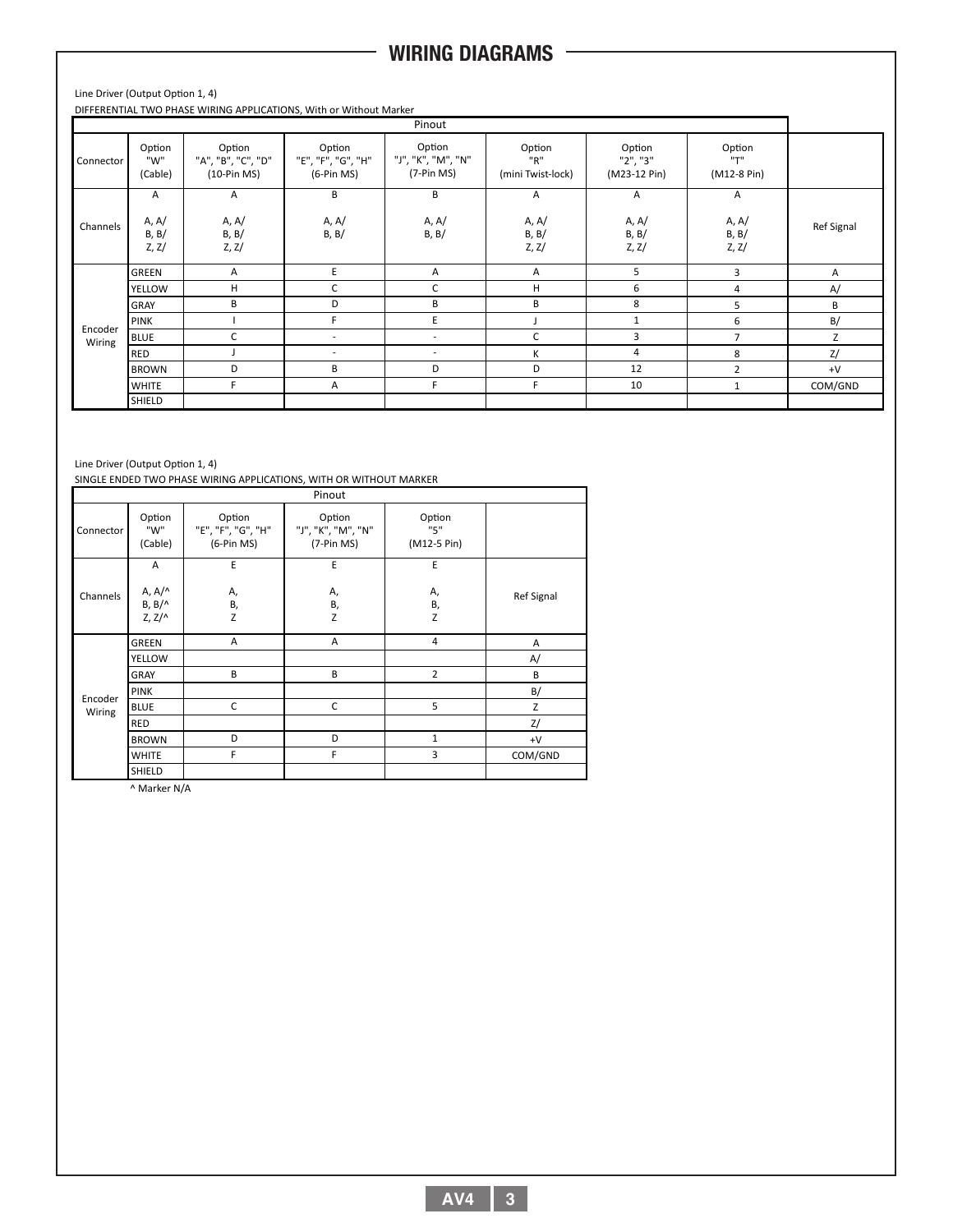# **WIRING DIAGRAMS**

Line Driver (Output Option 1, 4)

DIFFERENTIAL TWO PHASE WIRING APPLICATIONS, With or Without Marker

| Pinout            |                              |                                               |                                              |                                              |                                    |                                                         |                              |            |
|-------------------|------------------------------|-----------------------------------------------|----------------------------------------------|----------------------------------------------|------------------------------------|---------------------------------------------------------|------------------------------|------------|
| Connector         | Option<br>"W"<br>(Cable)     | Option<br>"A", "B", "C", "D"<br>$(10-Pin MS)$ | Option<br>"E", "F", "G", "H"<br>$(6-Pin MS)$ | Option<br>"J", "K", "M", "N"<br>$(7-Pin MS)$ | Option<br>"R"<br>(mini Twist-lock) | Option<br>"2", "3"<br>(M23-12 Pin)                      | Option<br>"T"<br>(M12-8 Pin) |            |
| Channels          | A<br>A, A/<br>B, B/<br>Z, Z/ | A<br>A, A/<br>B, B/<br>Z, Z/                  | B<br>A, A/<br>B, B/                          | B<br>A, A/<br>B, B/                          | A<br>A, A/<br>B, B/<br>Z, Z/       | $\mathsf{A}$<br>A, A/<br><b>B</b> , <b>B</b> /<br>Z, Z/ | A<br>A, A/<br>B, B/<br>Z, Z/ | Ref Signal |
|                   | GREEN                        | Α                                             | E                                            | Α                                            | A                                  | 5                                                       | 3                            | Α          |
|                   | YELLOW                       | H                                             | C                                            | C                                            | H                                  | 6                                                       | 4                            | A/         |
|                   | GRAY                         | В                                             | D                                            | В                                            | B                                  | 8                                                       | 5                            | В          |
| Encoder<br>Wiring | PINK                         |                                               | F.                                           | E                                            |                                    | $\mathbf{1}$                                            | 6                            | B/         |
|                   | <b>BLUE</b>                  | C                                             | $\overline{\phantom{a}}$                     | $\overline{\phantom{a}}$                     | C                                  | 3                                                       |                              | Z          |
|                   | <b>RED</b>                   |                                               | $\overline{\phantom{a}}$                     | ٠                                            | K                                  | $\overline{4}$                                          | 8                            | Z/         |
|                   | <b>BROWN</b>                 | D                                             | B                                            | D                                            | D                                  | 12                                                      | $\overline{2}$               | $+V$       |
|                   | <b>WHITE</b>                 | F                                             | Α                                            | F.                                           | F.                                 | 10                                                      | 1                            | COM/GND    |
|                   | SHIELD                       |                                               |                                              |                                              |                                    |                                                         |                              |            |

### Line Driver (Output Option 1, 4)

SINGLE ENDED TWO PHASE WIRING APPLICATIONS, WITH OR WITHOUT MARKER

|                   |                                          |                                              | Pinout                                       |                              |            |
|-------------------|------------------------------------------|----------------------------------------------|----------------------------------------------|------------------------------|------------|
| Connector         | Option<br>"W"<br>(Cable)                 | Option<br>"E", "F", "G", "H"<br>$(6-Pin MS)$ | Option<br>"J", "K", "M", "N"<br>$(7-Pin MS)$ | Option<br>"5"<br>(M12-5 Pin) |            |
|                   | A                                        | E                                            | E                                            | E                            |            |
| Channels          | A, A/^<br>$B, B/\wedge$<br>$Z, Z/\wedge$ | А,<br>В,<br>Z                                | А,<br>В,<br>Z                                | А,<br>В,<br>Z                | Ref Signal |
|                   | GREEN                                    | A                                            | A                                            | 4                            | Α          |
|                   | <b>YELLOW</b>                            |                                              |                                              |                              | A/         |
|                   | <b>GRAY</b>                              | B                                            | B                                            | $\overline{2}$               | B          |
|                   | <b>PINK</b>                              |                                              |                                              |                              | B/         |
| Encoder<br>Wiring | <b>BLUE</b>                              | C                                            | C                                            | 5                            | Z          |
|                   | <b>RED</b>                               |                                              |                                              |                              | Z/         |
|                   | <b>BROWN</b>                             | D                                            | D                                            | $\mathbf{1}$                 | $+V$       |
|                   | <b>WHITE</b>                             | F                                            | F                                            | 3                            | COM/GND    |
|                   | SHIELD                                   |                                              |                                              |                              |            |

^ Marker N/A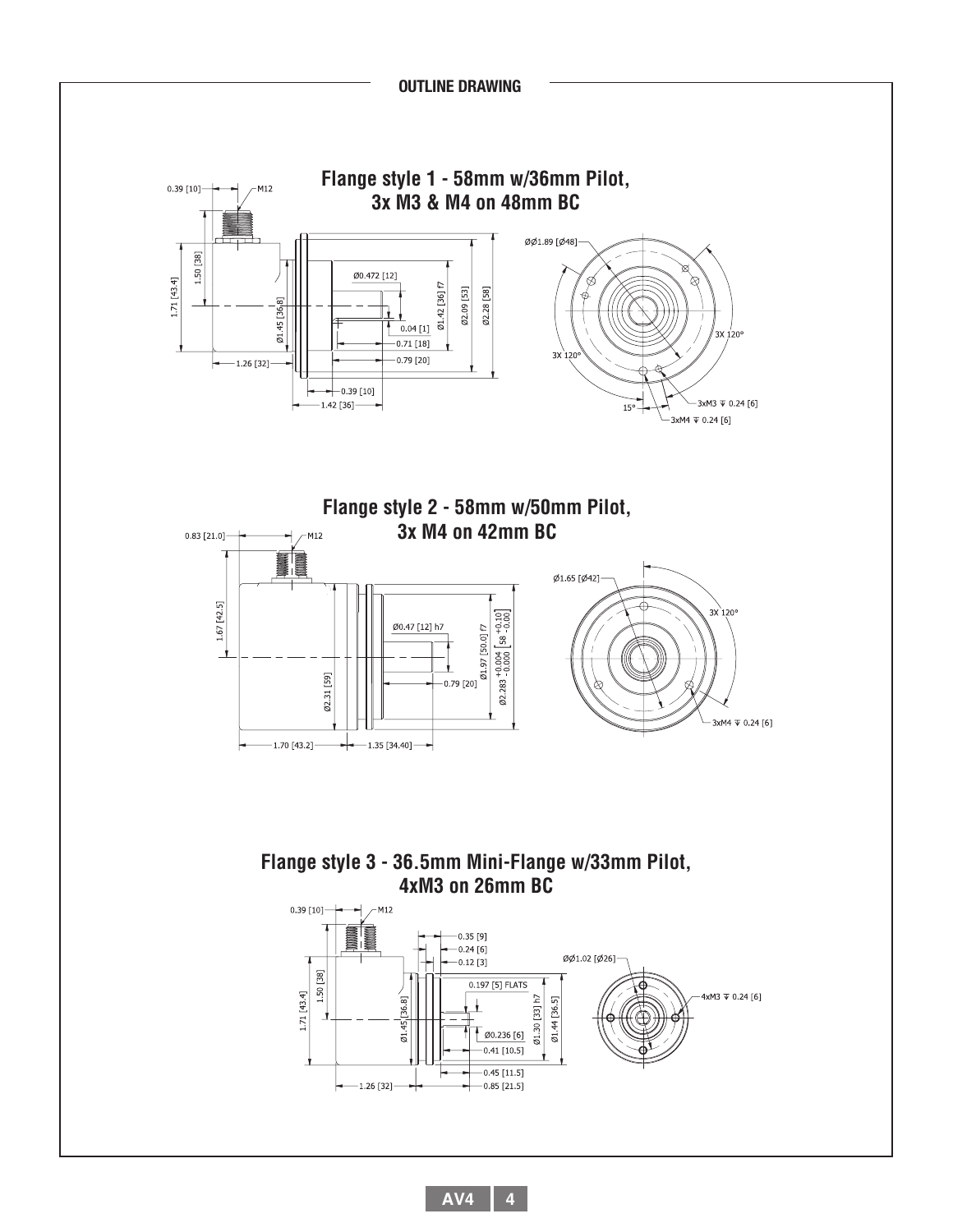